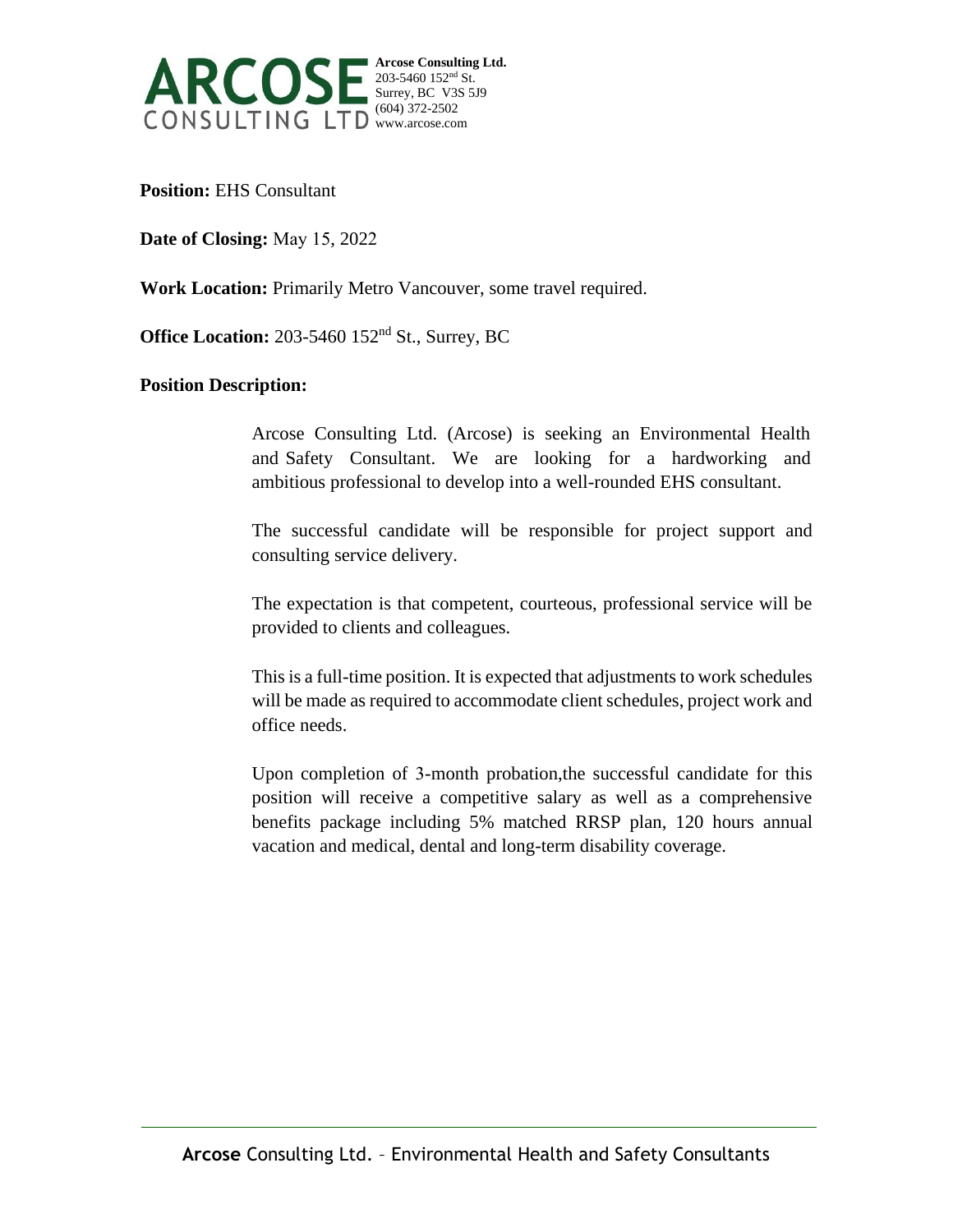

**Position:** EHS Consultant

**Date of Closing:** May 15, 2022

**Work Location:** Primarily Metro Vancouver, some travel required.

**Office Location:** 203-5460 152<sup>nd</sup> St., Surrey, BC

## **Position Description:**

 Arcose Consulting Ltd. (Arcose) is seeking an Environmental Health and Safety Consultant. We are looking for a hardworking and ambitious professional to develop into a well-rounded EHS consultant.

The successful candidate will be responsible for project support and consulting service delivery.

The expectation is that competent, courteous, professional service will be provided to clients and colleagues.

This is a full-time position. It is expected that adjustments to work schedules will be made as required to accommodate client schedules, project work and office needs.

 Upon completion of 3-month probation,the successful candidate for this position will receive a competitive salary as well as a comprehensive benefits package including 5% matched RRSP plan, 120 hours annual vacation and medical, dental and long-term disability coverage.